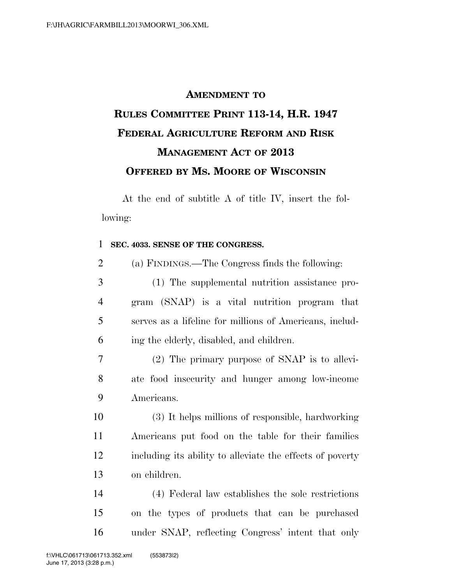## **AMENDMENT TO RULES COMMITTEE PRINT 113-14, H.R. 1947 FEDERAL AGRICULTURE REFORM AND RISK MANAGEMENT ACT OF 2013 OFFERED BY MS. MOORE OF WISCONSIN**

At the end of subtitle A of title IV, insert the following:

## **SEC. 4033. SENSE OF THE CONGRESS.**

| $\overline{2}$ |  |  | (a) FINDINGS.—The Congress finds the following: |
|----------------|--|--|-------------------------------------------------|
|----------------|--|--|-------------------------------------------------|

- (1) The supplemental nutrition assistance pro- gram (SNAP) is a vital nutrition program that serves as a lifeline for millions of Americans, includ-ing the elderly, disabled, and children.
- (2) The primary purpose of SNAP is to allevi- ate food insecurity and hunger among low-income Americans.
- (3) It helps millions of responsible, hardworking Americans put food on the table for their families including its ability to alleviate the effects of poverty on children.

 (4) Federal law establishes the sole restrictions on the types of products that can be purchased under SNAP, reflecting Congress' intent that only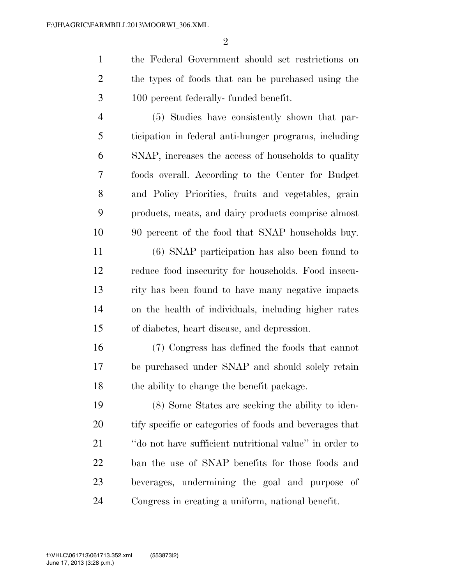the Federal Government should set restrictions on the types of foods that can be purchased using the 100 percent federally- funded benefit.

 (5) Studies have consistently shown that par- ticipation in federal anti-hunger programs, including SNAP, increases the access of households to quality foods overall. According to the Center for Budget and Policy Priorities, fruits and vegetables, grain products, meats, and dairy products comprise almost 90 percent of the food that SNAP households buy.

 (6) SNAP participation has also been found to reduce food insecurity for households. Food insecu- rity has been found to have many negative impacts on the health of individuals, including higher rates of diabetes, heart disease, and depression.

 (7) Congress has defined the foods that cannot be purchased under SNAP and should solely retain the ability to change the benefit package.

 (8) Some States are seeking the ability to iden- tify specific or categories of foods and beverages that ''do not have sufficient nutritional value'' in order to ban the use of SNAP benefits for those foods and beverages, undermining the goal and purpose of Congress in creating a uniform, national benefit.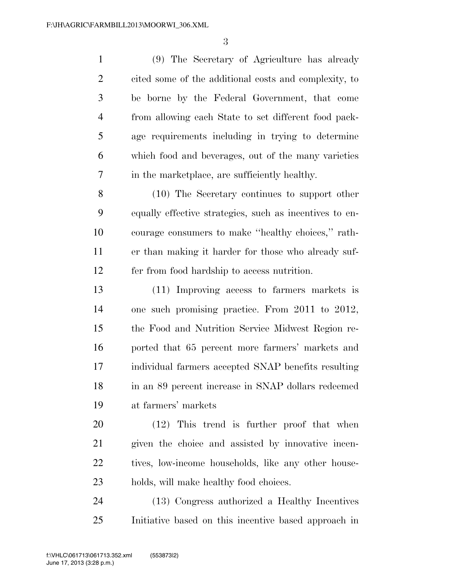(9) The Secretary of Agriculture has already cited some of the additional costs and complexity, to be borne by the Federal Government, that come from allowing each State to set different food pack- age requirements including in trying to determine which food and beverages, out of the many varieties in the marketplace, are sufficiently healthy.

 (10) The Secretary continues to support other equally effective strategies, such as incentives to en- courage consumers to make ''healthy choices,'' rath- er than making it harder for those who already suf-fer from food hardship to access nutrition.

 (11) Improving access to farmers markets is one such promising practice. From 2011 to 2012, the Food and Nutrition Service Midwest Region re- ported that 65 percent more farmers' markets and individual farmers accepted SNAP benefits resulting in an 89 percent increase in SNAP dollars redeemed at farmers' markets

 (12) This trend is further proof that when given the choice and assisted by innovative incen-22 tives, low-income households, like any other house-holds, will make healthy food choices.

 (13) Congress authorized a Healthy Incentives Initiative based on this incentive based approach in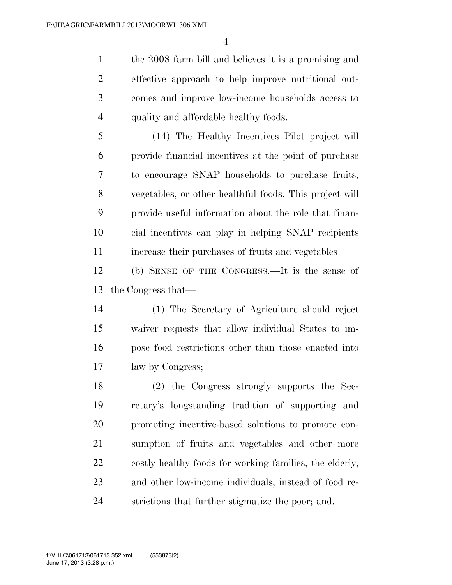the 2008 farm bill and believes it is a promising and effective approach to help improve nutritional out- comes and improve low-income households access to quality and affordable healthy foods.

 (14) The Healthy Incentives Pilot project will provide financial incentives at the point of purchase to encourage SNAP households to purchase fruits, vegetables, or other healthful foods. This project will provide useful information about the role that finan- cial incentives can play in helping SNAP recipients increase their purchases of fruits and vegetables

 (b) SENSE OF THE CONGRESS.—It is the sense of the Congress that—

 (1) The Secretary of Agriculture should reject waiver requests that allow individual States to im- pose food restrictions other than those enacted into law by Congress;

 (2) the Congress strongly supports the Sec- retary's longstanding tradition of supporting and promoting incentive-based solutions to promote con- sumption of fruits and vegetables and other more costly healthy foods for working families, the elderly, and other low-income individuals, instead of food re-strictions that further stigmatize the poor; and.